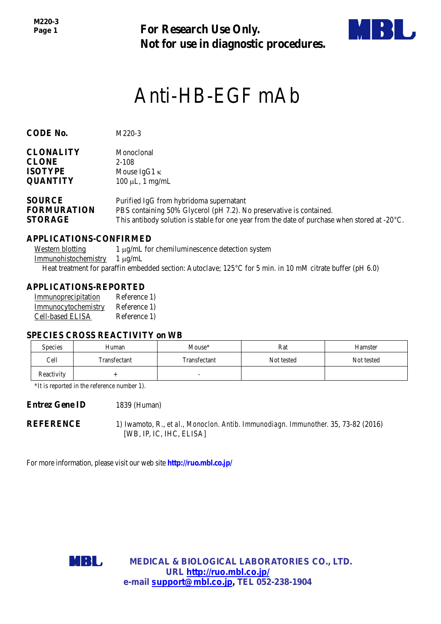*M220-3 Page 1*

**For Research Use Only. Not for use in diagnostic procedures.**



# Anti-HB-EGF mAb

| CODE RU.                                           | $1$ V $1220 - 3$                                                                                               |
|----------------------------------------------------|----------------------------------------------------------------------------------------------------------------|
| <b>CLONALITY</b><br><b>CLONE</b><br><b>ISOTYPE</b> | Monoclonal<br>2-108<br>Mouse $IgG1 \kappa$                                                                     |
| <b>QUANTITY</b>                                    | $100 \mu L$ , 1 mg/mL                                                                                          |
| <b>SOURCE</b><br><b>FORMURATION</b>                | Purified IgG from hybridoma supernatant<br>PBS containing 50% Glycerol (pH 7.2). No preservative is contained. |
| <b>STORAGE</b>                                     | This antibody solution is stable for one year from the date of purchase when stored at $-20^{\circ}$ C.        |

#### **APPLICATIONS-CONFIRMED**

**CODE No.** M220-3

Western blotting  $1 \mu g/mL$  for chemiluminescence detection system Immunohistochemistry 1 µg/mL Heat treatment for paraffin embedded section: Autoclave; 125°C for 5 min. in 10 mM citrate buffer (pH 6.0)

#### **APPLICATIONS-REPORTED**

| Immunoprecipitation     | Reference 1) |
|-------------------------|--------------|
| Immunocytochemistry     | Reference 1) |
| <b>Cell-based ELISA</b> | Reference 1) |

#### **SPECIES CROSS REACTIVITY on WB**

| <b>Species</b> | Human        | Mouse*                   | Rat        | Hamster    |
|----------------|--------------|--------------------------|------------|------------|
| Cell           | Transfectant | Transfectant             | Not tested | Not tested |
| Reactivity     |              | $\overline{\phantom{0}}$ |            |            |

\*It is reported in the reference number 1).

**Entrez Gene ID** 1839 (Human)

**REFERENCE** 1) Iwamoto, R., *et al., Monoclon. Antib. Immunodiagn. Immunother.* 35, 73-82 (2016) [WB, IP, IC, IHC, ELISA]

For more information, please visit our web site **http://ruo.mbl.co.jp/**



**MEDICAL & BIOLOGICAL LABORATORIES CO., LTD. URL [http://ruo.mbl.co.jp/](https://ruo.mbl.co.jp/je/rip-assay/) e-mail [support@mbl.co.jp,](mailto:support@mbl.co.jp) TEL 052-238-1904**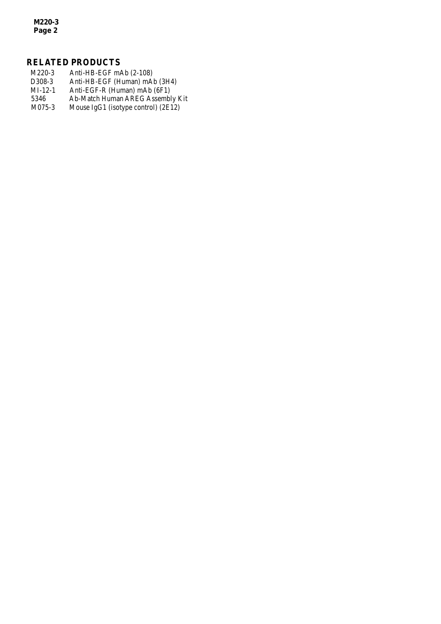*M220-3 Page 2*

# **RELATED PRODUCTS**

M220-3 Anti-HB-EGF mAb (2-108)<br>D308-3 Anti-HB-EGF (Human) mA D308-3 Anti-HB-EGF (Human) mAb (3H4)<br>MI-12-1 Anti-EGF-R (Human) mAb (6F1) MI-12-1 Anti-EGF-R (Human) mAb (6F1)<br>5346 Ab-Match Human AREG Assembl 5346 Ab-Match Human AREG Assembly Kit<br>M075-3 Mouse IgG1 (isotype control) (2E12) Mouse IgG1 (isotype control) (2E12)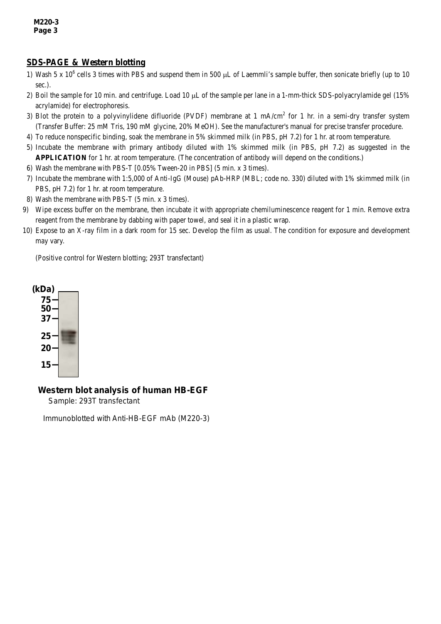# **SDS-PAGE & Western blotting**

- 1) Wash 5 x  $10^6$  cells 3 times with PBS and suspend them in 500  $\mu$ L of Laemmli's sample buffer, then sonicate briefly (up to 10 sec.).
- 2) Boil the sample for 10 min. and centrifuge. Load 10 µL of the sample per lane in a 1-mm-thick SDS-polyacrylamide gel (15% acrylamide) for electrophoresis.
- 3) Blot the protein to a polyvinylidene difluoride (PVDF) membrane at 1 mA/cm<sup>2</sup> for 1 hr. in a semi-dry transfer system (Transfer Buffer: 25 mM Tris, 190 mM glycine, 20% MeOH). See the manufacturer's manual for precise transfer procedure.
- 4) To reduce nonspecific binding, soak the membrane in 5% skimmed milk (in PBS, pH 7.2) for 1 hr. at room temperature.
- 5) Incubate the membrane with primary antibody diluted with 1% skimmed milk (in PBS, pH 7.2) as suggested in the **APPLICATION** for 1 hr. at room temperature. (The concentration of antibody will depend on the conditions.)
- 6) Wash the membrane with PBS-T [0.05% Tween-20 in PBS] (5 min. x 3 times).
- 7) Incubate the membrane with 1:5,000 of Anti-IgG (Mouse) pAb-HRP (MBL; code no. 330) diluted with 1% skimmed milk (in PBS, pH 7.2) for 1 hr. at room temperature.
- 8) Wash the membrane with PBS-T (5 min. x 3 times).
- 9) Wipe excess buffer on the membrane, then incubate it with appropriate chemiluminescence reagent for 1 min. Remove extra reagent from the membrane by dabbing with paper towel, and seal it in a plastic wrap.
- 10) Expose to an X-ray film in a dark room for 15 sec. Develop the film as usual. The condition for exposure and development may vary.

(Positive control for Western blotting; 293T transfectant)



#### *Western blot analysis of human HB-EGF*

Sample: 293T transfectant

Immunoblotted with Anti-HB-EGF mAb (M220-3)